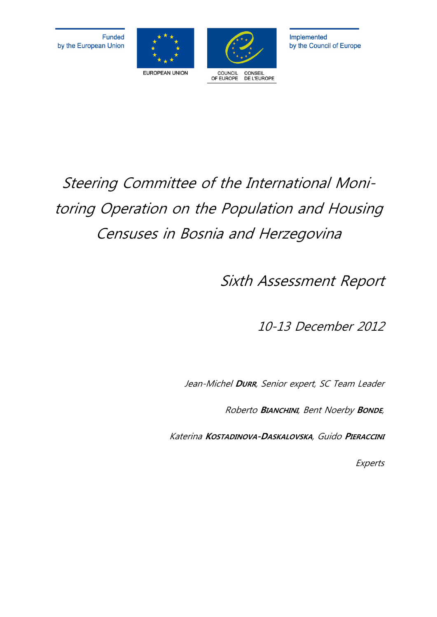



# Steering Committee of the International Monitoring Operation on the Population and Housing Censuses in Bosnia and Herzegovina

Sixth Assessment Report

10-13 December 2012

Jean-Michel **DURR**, Senior expert, SC Team Leader

Roberto **BIANCHINI**, Bent Noerby **BONDE**,

Katerina **KOSTADINOVA-DASKALOVSKA**, Guido **PIERACCINI**

**Experts**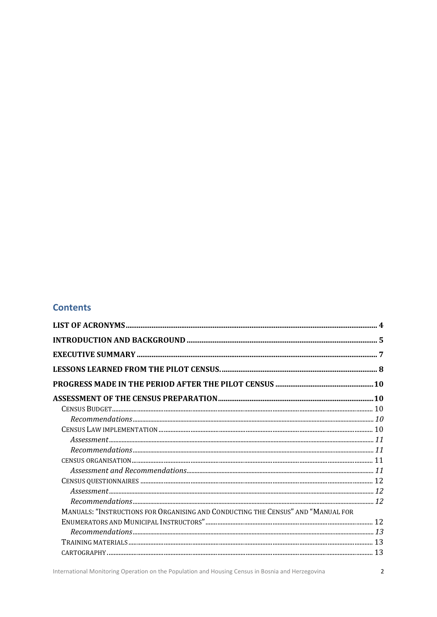#### **Contents**

| MANUALS: "INSTRUCTIONS FOR ORGANISING AND CONDUCTING THE CENSUS" AND "MANUAL FOR |  |
|----------------------------------------------------------------------------------|--|
|                                                                                  |  |
|                                                                                  |  |
|                                                                                  |  |
|                                                                                  |  |
|                                                                                  |  |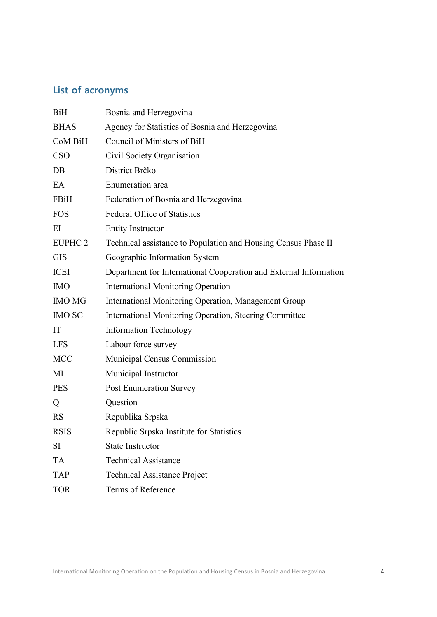## **List of acronyms**

| <b>BiH</b>         | Bosnia and Herzegovina                                            |
|--------------------|-------------------------------------------------------------------|
| <b>BHAS</b>        | Agency for Statistics of Bosnia and Herzegovina                   |
| CoM BiH            | Council of Ministers of BiH                                       |
| <b>CSO</b>         | Civil Society Organisation                                        |
| DB                 | District Brčko                                                    |
| EA                 | Enumeration area                                                  |
| FBiH               | Federation of Bosnia and Herzegovina                              |
| <b>FOS</b>         | <b>Federal Office of Statistics</b>                               |
| EI                 | <b>Entity Instructor</b>                                          |
| EUPHC <sub>2</sub> | Technical assistance to Population and Housing Census Phase II    |
| <b>GIS</b>         | Geographic Information System                                     |
| <b>ICEI</b>        | Department for International Cooperation and External Information |
| <b>IMO</b>         | <b>International Monitoring Operation</b>                         |
| <b>IMO MG</b>      | International Monitoring Operation, Management Group              |
| <b>IMO SC</b>      | International Monitoring Operation, Steering Committee            |
| IT                 | <b>Information Technology</b>                                     |
| <b>LFS</b>         | Labour force survey                                               |
| <b>MCC</b>         | Municipal Census Commission                                       |
| MI                 | Municipal Instructor                                              |
| <b>PES</b>         | <b>Post Enumeration Survey</b>                                    |
| Q                  | Question                                                          |
| <b>RS</b>          | Republika Srpska                                                  |
| <b>RSIS</b>        | Republic Srpska Institute for Statistics                          |
| SI                 | <b>State Instructor</b>                                           |
| <b>TA</b>          | <b>Technical Assistance</b>                                       |
| <b>TAP</b>         | <b>Technical Assistance Project</b>                               |
| <b>TOR</b>         | Terms of Reference                                                |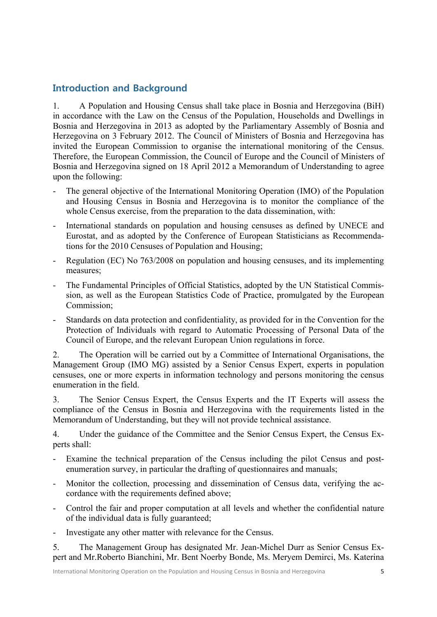## **Introduction and Background**

1. A Population and Housing Census shall take place in Bosnia and Herzegovina (BiH) in accordance with the Law on the Census of the Population, Households and Dwellings in Bosnia and Herzegovina in 2013 as adopted by the Parliamentary Assembly of Bosnia and Herzegovina on 3 February 2012. The Council of Ministers of Bosnia and Herzegovina has invited the European Commission to organise the international monitoring of the Census. Therefore, the European Commission, the Council of Europe and the Council of Ministers of Bosnia and Herzegovina signed on 18 April 2012 a Memorandum of Understanding to agree upon the following:

- The general objective of the International Monitoring Operation (IMO) of the Population and Housing Census in Bosnia and Herzegovina is to monitor the compliance of the whole Census exercise, from the preparation to the data dissemination, with:
- International standards on population and housing censuses as defined by UNECE and Eurostat, and as adopted by the Conference of European Statisticians as Recommendations for the 2010 Censuses of Population and Housing;
- Regulation (EC) No 763/2008 on population and housing censuses, and its implementing measures;
- The Fundamental Principles of Official Statistics, adopted by the UN Statistical Commission, as well as the European Statistics Code of Practice, promulgated by the European Commission;
- Standards on data protection and confidentiality, as provided for in the Convention for the Protection of Individuals with regard to Automatic Processing of Personal Data of the Council of Europe, and the relevant European Union regulations in force.

2. The Operation will be carried out by a Committee of International Organisations, the Management Group (IMO MG) assisted by a Senior Census Expert, experts in population censuses, one or more experts in information technology and persons monitoring the census enumeration in the field.

3. The Senior Census Expert, the Census Experts and the IT Experts will assess the compliance of the Census in Bosnia and Herzegovina with the requirements listed in the Memorandum of Understanding, but they will not provide technical assistance.

4. Under the guidance of the Committee and the Senior Census Expert, the Census Experts shall:

- Examine the technical preparation of the Census including the pilot Census and postenumeration survey, in particular the drafting of questionnaires and manuals;
- Monitor the collection, processing and dissemination of Census data, verifying the accordance with the requirements defined above:
- Control the fair and proper computation at all levels and whether the confidential nature of the individual data is fully guaranteed;
- Investigate any other matter with relevance for the Census.

5. The Management Group has designated Mr. Jean-Michel Durr as Senior Census Expert and Mr.Roberto Bianchini, Mr. Bent Noerby Bonde, Ms. Meryem Demirci, Ms. Katerina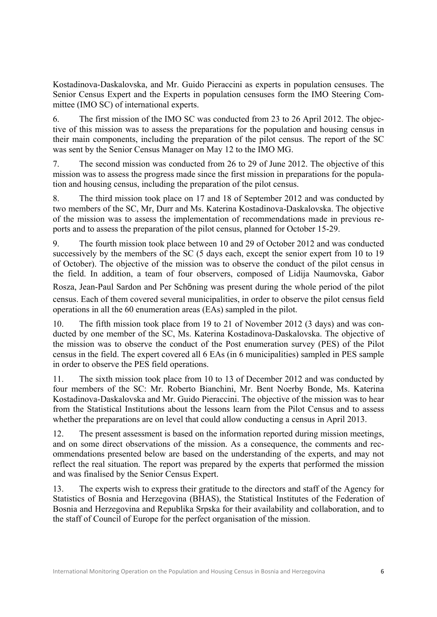Kostadinova-Daskalovska, and Mr. Guido Pieraccini as experts in population censuses. The Senior Census Expert and the Experts in population censuses form the IMO Steering Committee (IMO SC) of international experts.

6. The first mission of the IMO SC was conducted from 23 to 26 April 2012. The objective of this mission was to assess the preparations for the population and housing census in their main components, including the preparation of the pilot census. The report of the SC was sent by the Senior Census Manager on May 12 to the IMO MG.

7. The second mission was conducted from 26 to 29 of June 2012. The objective of this mission was to assess the progress made since the first mission in preparations for the population and housing census, including the preparation of the pilot census.

8. The third mission took place on 17 and 18 of September 2012 and was conducted by two members of the SC, Mr, Durr and Ms. Katerina Kostadinova-Daskalovska. The objective of the mission was to assess the implementation of recommendations made in previous reports and to assess the preparation of the pilot census, planned for October 15-29.

9. The fourth mission took place between 10 and 29 of October 2012 and was conducted successively by the members of the SC (5 days each, except the senior expert from 10 to 19 of October). The objective of the mission was to observe the conduct of the pilot census in the field. In addition, a team of four observers, composed of Lidija Naumovska, Gabor Rosza, Jean-Paul Sardon and Per Schöning was present during the whole period of the pilot census. Each of them covered several municipalities, in order to observe the pilot census field operations in all the 60 enumeration areas (EAs) sampled in the pilot.

10. The fifth mission took place from 19 to 21 of November 2012 (3 days) and was conducted by one member of the SC, Ms. Katerina Kostadinova-Daskalovska. The objective of the mission was to observe the conduct of the Post enumeration survey (PES) of the Pilot census in the field. The expert covered all 6 EAs (in 6 municipalities) sampled in PES sample in order to observe the PES field operations.

11. The sixth mission took place from 10 to 13 of December 2012 and was conducted by four members of the SC: Mr. Roberto Bianchini, Mr. Bent Noerby Bonde, Ms. Katerina Kostadinova-Daskalovska and Mr. Guido Pieraccini. The objective of the mission was to hear from the Statistical Institutions about the lessons learn from the Pilot Census and to assess whether the preparations are on level that could allow conducting a census in April 2013.

12. The present assessment is based on the information reported during mission meetings, and on some direct observations of the mission. As a consequence, the comments and recommendations presented below are based on the understanding of the experts, and may not reflect the real situation. The report was prepared by the experts that performed the mission and was finalised by the Senior Census Expert.

13. The experts wish to express their gratitude to the directors and staff of the Agency for Statistics of Bosnia and Herzegovina (BHAS), the Statistical Institutes of the Federation of Bosnia and Herzegovina and Republika Srpska for their availability and collaboration, and to the staff of Council of Europe for the perfect organisation of the mission.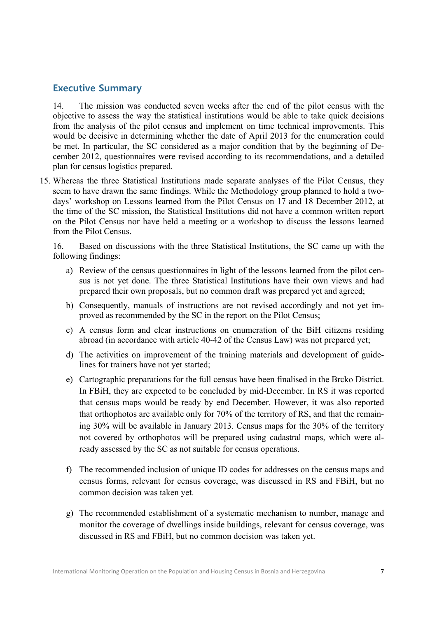## **Executive Summary**

14. The mission was conducted seven weeks after the end of the pilot census with the objective to assess the way the statistical institutions would be able to take quick decisions from the analysis of the pilot census and implement on time technical improvements. This would be decisive in determining whether the date of April 2013 for the enumeration could be met. In particular, the SC considered as a major condition that by the beginning of December 2012, questionnaires were revised according to its recommendations, and a detailed plan for census logistics prepared.

15. Whereas the three Statistical Institutions made separate analyses of the Pilot Census, they seem to have drawn the same findings. While the Methodology group planned to hold a twodays' workshop on Lessons learned from the Pilot Census on 17 and 18 December 2012, at the time of the SC mission, the Statistical Institutions did not have a common written report on the Pilot Census nor have held a meeting or a workshop to discuss the lessons learned from the Pilot Census.

16. Based on discussions with the three Statistical Institutions, the SC came up with the following findings:

- a) Review of the census questionnaires in light of the lessons learned from the pilot census is not yet done. The three Statistical Institutions have their own views and had prepared their own proposals, but no common draft was prepared yet and agreed;
- b) Consequently, manuals of instructions are not revised accordingly and not yet improved as recommended by the SC in the report on the Pilot Census;
- c) A census form and clear instructions on enumeration of the BiH citizens residing abroad (in accordance with article 40-42 of the Census Law) was not prepared yet;
- d) The activities on improvement of the training materials and development of guidelines for trainers have not yet started;
- e) Cartographic preparations for the full census have been finalised in the Brcko District. In FBiH, they are expected to be concluded by mid-December. In RS it was reported that census maps would be ready by end December. However, it was also reported that orthophotos are available only for 70% of the territory of RS, and that the remaining 30% will be available in January 2013. Census maps for the 30% of the territory not covered by orthophotos will be prepared using cadastral maps, which were already assessed by the SC as not suitable for census operations.
- f) The recommended inclusion of unique ID codes for addresses on the census maps and census forms, relevant for census coverage, was discussed in RS and FBiH, but no common decision was taken yet.
- g) The recommended establishment of a systematic mechanism to number, manage and monitor the coverage of dwellings inside buildings, relevant for census coverage, was discussed in RS and FBiH, but no common decision was taken yet.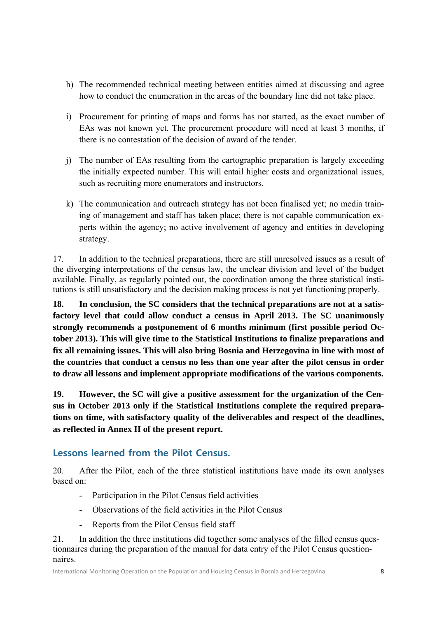- h) The recommended technical meeting between entities aimed at discussing and agree how to conduct the enumeration in the areas of the boundary line did not take place.
- i) Procurement for printing of maps and forms has not started, as the exact number of EAs was not known yet. The procurement procedure will need at least 3 months, if there is no contestation of the decision of award of the tender.
- j) The number of EAs resulting from the cartographic preparation is largely exceeding the initially expected number. This will entail higher costs and organizational issues, such as recruiting more enumerators and instructors.
- k) The communication and outreach strategy has not been finalised yet; no media training of management and staff has taken place; there is not capable communication experts within the agency; no active involvement of agency and entities in developing strategy.

17. In addition to the technical preparations, there are still unresolved issues as a result of the diverging interpretations of the census law, the unclear division and level of the budget available. Finally, as regularly pointed out, the coordination among the three statistical institutions is still unsatisfactory and the decision making process is not yet functioning properly.

**18. In conclusion, the SC considers that the technical preparations are not at a satisfactory level that could allow conduct a census in April 2013. The SC unanimously strongly recommends a postponement of 6 months minimum (first possible period October 2013). This will give time to the Statistical Institutions to finalize preparations and fix all remaining issues. This will also bring Bosnia and Herzegovina in line with most of the countries that conduct a census no less than one year after the pilot census in order to draw all lessons and implement appropriate modifications of the various components.** 

**19. However, the SC will give a positive assessment for the organization of the Census in October 2013 only if the Statistical Institutions complete the required preparations on time, with satisfactory quality of the deliverables and respect of the deadlines, as reflected in Annex II of the present report.** 

## **Lessons learned from the Pilot Census.**

20. After the Pilot, each of the three statistical institutions have made its own analyses based on:

- Participation in the Pilot Census field activities
- Observations of the field activities in the Pilot Census
- Reports from the Pilot Census field staff

21. In addition the three institutions did together some analyses of the filled census questionnaires during the preparation of the manual for data entry of the Pilot Census questionnaires.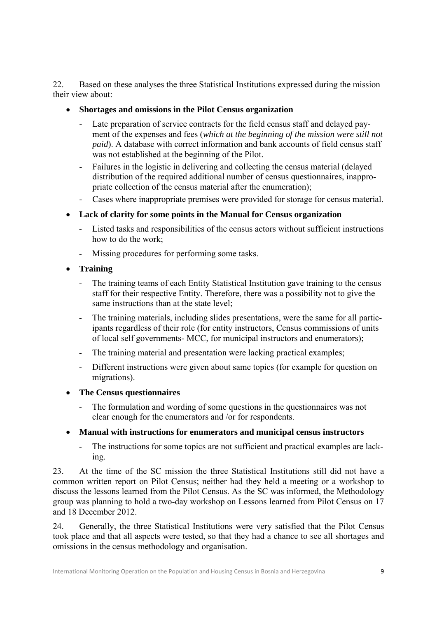22. Based on these analyses the three Statistical Institutions expressed during the mission their view about:

- **Shortages and omissions in the Pilot Census organization** 
	- Late preparation of service contracts for the field census staff and delayed payment of the expenses and fees (*which at the beginning of the mission were still not paid*). A database with correct information and bank accounts of field census staff was not established at the beginning of the Pilot.
	- Failures in the logistic in delivering and collecting the census material (delayed distribution of the required additional number of census questionnaires, inappropriate collection of the census material after the enumeration);
	- Cases where inappropriate premises were provided for storage for census material.
- **Lack of clarity for some points in the Manual for Census organization** 
	- Listed tasks and responsibilities of the census actors without sufficient instructions how to do the work;
	- Missing procedures for performing some tasks.
- **Training** 
	- The training teams of each Entity Statistical Institution gave training to the census staff for their respective Entity. Therefore, there was a possibility not to give the same instructions than at the state level;
	- The training materials, including slides presentations, were the same for all participants regardless of their role (for entity instructors, Census commissions of units of local self governments- MCC, for municipal instructors and enumerators);
	- The training material and presentation were lacking practical examples;
	- Different instructions were given about same topics (for example for question on migrations).
- **The Census questionnaires** 
	- The formulation and wording of some questions in the questionnaires was not clear enough for the enumerators and /or for respondents.

#### **Manual with instructions for enumerators and municipal census instructors**

- The instructions for some topics are not sufficient and practical examples are lacking.

23. At the time of the SC mission the three Statistical Institutions still did not have a common written report on Pilot Census; neither had they held a meeting or a workshop to discuss the lessons learned from the Pilot Census. As the SC was informed, the Methodology group was planning to hold a two-day workshop on Lessons learned from Pilot Census on 17 and 18 December 2012.

24. Generally, the three Statistical Institutions were very satisfied that the Pilot Census took place and that all aspects were tested, so that they had a chance to see all shortages and omissions in the census methodology and organisation.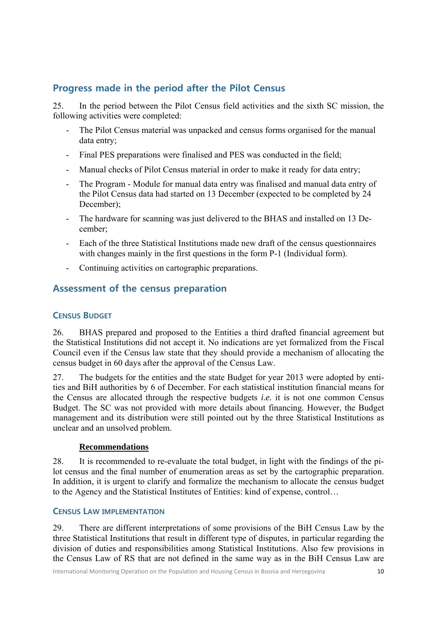## **Progress made in the period after the Pilot Census**

25. In the period between the Pilot Census field activities and the sixth SC mission, the following activities were completed:

- The Pilot Census material was unpacked and census forms organised for the manual data entry;
- Final PES preparations were finalised and PES was conducted in the field;
- Manual checks of Pilot Census material in order to make it ready for data entry;
- The Program Module for manual data entry was finalised and manual data entry of the Pilot Census data had started on 13 December (expected to be completed by 24 December);
- The hardware for scanning was just delivered to the BHAS and installed on 13 December;
- Each of the three Statistical Institutions made new draft of the census questionnaires with changes mainly in the first questions in the form P-1 (Individual form).
- Continuing activities on cartographic preparations.

## **Assessment of the census preparation**

## **CENSUS BUDGET**

26. BHAS prepared and proposed to the Entities a third drafted financial agreement but the Statistical Institutions did not accept it. No indications are yet formalized from the Fiscal Council even if the Census law state that they should provide a mechanism of allocating the census budget in 60 days after the approval of the Census Law.

27. The budgets for the entities and the state Budget for year 2013 were adopted by entities and BiH authorities by 6 of December. For each statistical institution financial means for the Census are allocated through the respective budgets *i.e.* it is not one common Census Budget. The SC was not provided with more details about financing. However, the Budget management and its distribution were still pointed out by the three Statistical Institutions as unclear and an unsolved problem.

#### **Recommendations**

28. It is recommended to re-evaluate the total budget, in light with the findings of the pilot census and the final number of enumeration areas as set by the cartographic preparation. In addition, it is urgent to clarify and formalize the mechanism to allocate the census budget to the Agency and the Statistical Institutes of Entities: kind of expense, control…

#### **CENSUS LAW IMPLEMENTATION**

29. There are different interpretations of some provisions of the BiH Census Law by the three Statistical Institutions that result in different type of disputes, in particular regarding the division of duties and responsibilities among Statistical Institutions. Also few provisions in the Census Law of RS that are not defined in the same way as in the BiH Census Law are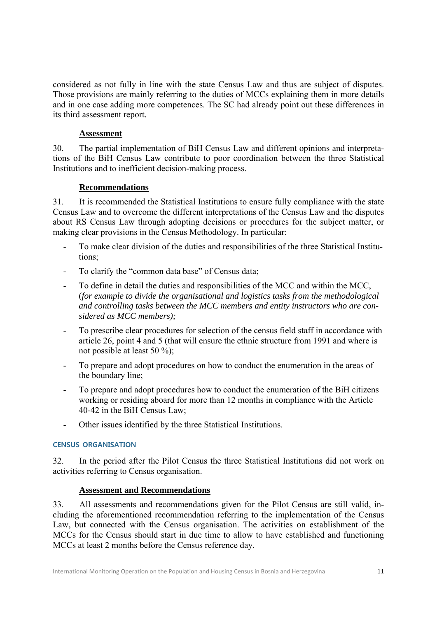considered as not fully in line with the state Census Law and thus are subject of disputes. Those provisions are mainly referring to the duties of MCCs explaining them in more details and in one case adding more competences. The SC had already point out these differences in its third assessment report.

#### **Assessment**

30. The partial implementation of BiH Census Law and different opinions and interpretations of the BiH Census Law contribute to poor coordination between the three Statistical Institutions and to inefficient decision-making process.

#### **Recommendations**

31. It is recommended the Statistical Institutions to ensure fully compliance with the state Census Law and to overcome the different interpretations of the Census Law and the disputes about RS Census Law through adopting decisions or procedures for the subject matter, or making clear provisions in the Census Methodology. In particular:

- To make clear division of the duties and responsibilities of the three Statistical Institutions;
- To clarify the "common data base" of Census data;
- To define in detail the duties and responsibilities of the MCC and within the MCC, (*for example to divide the organisational and logistics tasks from the methodological and controlling tasks between the MCC members and entity instructors who are considered as MCC members);*
- To prescribe clear procedures for selection of the census field staff in accordance with article 26, point 4 and 5 (that will ensure the ethnic structure from 1991 and where is not possible at least 50 %);
- To prepare and adopt procedures on how to conduct the enumeration in the areas of the boundary line;
- To prepare and adopt procedures how to conduct the enumeration of the BiH citizens working or residing aboard for more than 12 months in compliance with the Article 40-42 in the BiH Census Law;
- Other issues identified by the three Statistical Institutions.

#### **CENSUS ORGANISATION**

32. In the period after the Pilot Census the three Statistical Institutions did not work on activities referring to Census organisation.

#### **Assessment and Recommendations**

33. All assessments and recommendations given for the Pilot Census are still valid, including the aforementioned recommendation referring to the implementation of the Census Law, but connected with the Census organisation. The activities on establishment of the MCCs for the Census should start in due time to allow to have established and functioning MCCs at least 2 months before the Census reference day.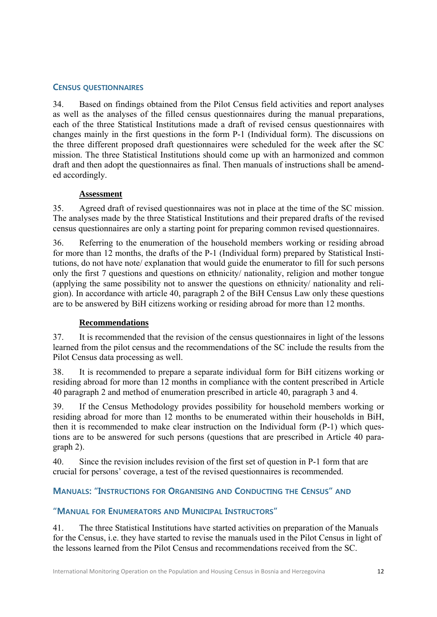#### **CENSUS QUESTIONNAIRES**

34. Based on findings obtained from the Pilot Census field activities and report analyses as well as the analyses of the filled census questionnaires during the manual preparations, each of the three Statistical Institutions made a draft of revised census questionnaires with changes mainly in the first questions in the form P-1 (Individual form). The discussions on the three different proposed draft questionnaires were scheduled for the week after the SC mission. The three Statistical Institutions should come up with an harmonized and common draft and then adopt the questionnaires as final. Then manuals of instructions shall be amended accordingly.

#### **Assessment**

35. Agreed draft of revised questionnaires was not in place at the time of the SC mission. The analyses made by the three Statistical Institutions and their prepared drafts of the revised census questionnaires are only a starting point for preparing common revised questionnaires.

36. Referring to the enumeration of the household members working or residing abroad for more than 12 months, the drafts of the P-1 (Individual form) prepared by Statistical Institutions, do not have note/ explanation that would guide the enumerator to fill for such persons only the first 7 questions and questions on ethnicity/ nationality, religion and mother tongue (applying the same possibility not to answer the questions on ethnicity/ nationality and religion). In accordance with article 40, paragraph 2 of the BiH Census Law only these questions are to be answered by BiH citizens working or residing abroad for more than 12 months.

#### **Recommendations**

37. It is recommended that the revision of the census questionnaires in light of the lessons learned from the pilot census and the recommendations of the SC include the results from the Pilot Census data processing as well.

38. It is recommended to prepare a separate individual form for BiH citizens working or residing abroad for more than 12 months in compliance with the content prescribed in Article 40 paragraph 2 and method of enumeration prescribed in article 40, paragraph 3 and 4.

39. If the Census Methodology provides possibility for household members working or residing abroad for more than 12 months to be enumerated within their households in BiH, then it is recommended to make clear instruction on the Individual form (P-1) which questions are to be answered for such persons (questions that are prescribed in Article 40 paragraph 2).

40. Since the revision includes revision of the first set of question in P-1 form that are crucial for persons' coverage, a test of the revised questionnaires is recommended.

#### **MANUALS: "INSTRUCTIONS FOR ORGANISING AND CONDUCTING THE CENSUS" AND**

#### **"MANUAL FOR ENUMERATORS AND MUNICIPAL INSTRUCTORS"**

41. The three Statistical Institutions have started activities on preparation of the Manuals for the Census, i.e. they have started to revise the manuals used in the Pilot Census in light of the lessons learned from the Pilot Census and recommendations received from the SC.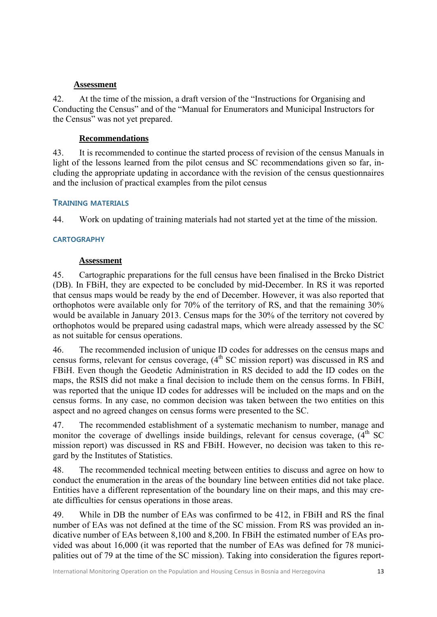#### **Assessment**

42. At the time of the mission, a draft version of the "Instructions for Organising and Conducting the Census" and of the "Manual for Enumerators and Municipal Instructors for the Census" was not yet prepared.

#### **Recommendations**

43. It is recommended to continue the started process of revision of the census Manuals in light of the lessons learned from the pilot census and SC recommendations given so far, including the appropriate updating in accordance with the revision of the census questionnaires and the inclusion of practical examples from the pilot census

#### **TRAINING MATERIALS**

44. Work on updating of training materials had not started yet at the time of the mission.

#### **CARTOGRAPHY**

#### **Assessment**

45. Cartographic preparations for the full census have been finalised in the Brcko District (DB). In FBiH, they are expected to be concluded by mid-December. In RS it was reported that census maps would be ready by the end of December. However, it was also reported that orthophotos were available only for 70% of the territory of RS, and that the remaining 30% would be available in January 2013. Census maps for the 30% of the territory not covered by orthophotos would be prepared using cadastral maps, which were already assessed by the SC as not suitable for census operations.

46. The recommended inclusion of unique ID codes for addresses on the census maps and census forms, relevant for census coverage,  $(4<sup>th</sup> SC$  mission report) was discussed in RS and FBiH. Even though the Geodetic Administration in RS decided to add the ID codes on the maps, the RSIS did not make a final decision to include them on the census forms. In FBiH, was reported that the unique ID codes for addresses will be included on the maps and on the census forms. In any case, no common decision was taken between the two entities on this aspect and no agreed changes on census forms were presented to the SC.

47. The recommended establishment of a systematic mechanism to number, manage and monitor the coverage of dwellings inside buildings, relevant for census coverage,  $(4<sup>th</sup> SC)$ mission report) was discussed in RS and FBiH. However, no decision was taken to this regard by the Institutes of Statistics.

48. The recommended technical meeting between entities to discuss and agree on how to conduct the enumeration in the areas of the boundary line between entities did not take place. Entities have a different representation of the boundary line on their maps, and this may create difficulties for census operations in those areas.

49. While in DB the number of EAs was confirmed to be 412, in FBiH and RS the final number of EAs was not defined at the time of the SC mission. From RS was provided an indicative number of EAs between 8,100 and 8,200. In FBiH the estimated number of EAs provided was about 16,000 (it was reported that the number of EAs was defined for 78 municipalities out of 79 at the time of the SC mission). Taking into consideration the figures report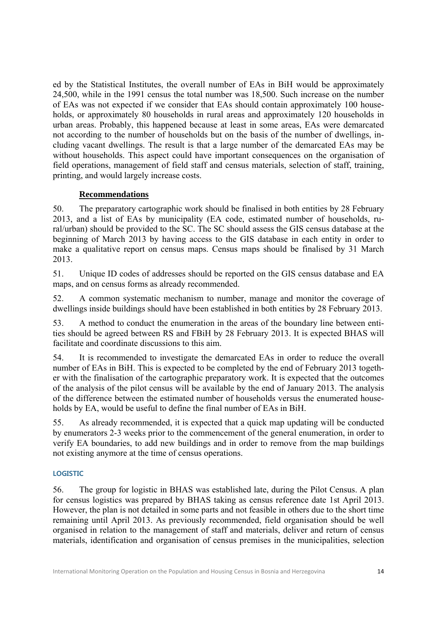ed by the Statistical Institutes, the overall number of EAs in BiH would be approximately 24,500, while in the 1991 census the total number was 18,500. Such increase on the number of EAs was not expected if we consider that EAs should contain approximately 100 households, or approximately 80 households in rural areas and approximately 120 households in urban areas. Probably, this happened because at least in some areas, EAs were demarcated not according to the number of households but on the basis of the number of dwellings, including vacant dwellings. The result is that a large number of the demarcated EAs may be without households. This aspect could have important consequences on the organisation of field operations, management of field staff and census materials, selection of staff, training, printing, and would largely increase costs.

#### **Recommendations**

50. The preparatory cartographic work should be finalised in both entities by 28 February 2013, and a list of EAs by municipality (EA code, estimated number of households, rural/urban) should be provided to the SC. The SC should assess the GIS census database at the beginning of March 2013 by having access to the GIS database in each entity in order to make a qualitative report on census maps. Census maps should be finalised by 31 March 2013.

51. Unique ID codes of addresses should be reported on the GIS census database and EA maps, and on census forms as already recommended.

52. A common systematic mechanism to number, manage and monitor the coverage of dwellings inside buildings should have been established in both entities by 28 February 2013.

53. A method to conduct the enumeration in the areas of the boundary line between entities should be agreed between RS and FBiH by 28 February 2013. It is expected BHAS will facilitate and coordinate discussions to this aim.

54. It is recommended to investigate the demarcated EAs in order to reduce the overall number of EAs in BiH. This is expected to be completed by the end of February 2013 together with the finalisation of the cartographic preparatory work. It is expected that the outcomes of the analysis of the pilot census will be available by the end of January 2013. The analysis of the difference between the estimated number of households versus the enumerated households by EA, would be useful to define the final number of EAs in BiH.

55. As already recommended, it is expected that a quick map updating will be conducted by enumerators 2-3 weeks prior to the commencement of the general enumeration, in order to verify EA boundaries, to add new buildings and in order to remove from the map buildings not existing anymore at the time of census operations.

#### **LOGISTIC**

56. The group for logistic in BHAS was established late, during the Pilot Census. A plan for census logistics was prepared by BHAS taking as census reference date 1st April 2013. However, the plan is not detailed in some parts and not feasible in others due to the short time remaining until April 2013. As previously recommended, field organisation should be well organised in relation to the management of staff and materials, deliver and return of census materials, identification and organisation of census premises in the municipalities, selection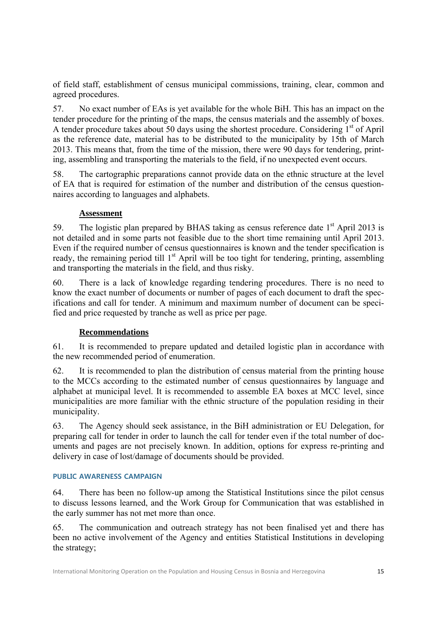of field staff, establishment of census municipal commissions, training, clear, common and agreed procedures.

57. No exact number of EAs is yet available for the whole BiH. This has an impact on the tender procedure for the printing of the maps, the census materials and the assembly of boxes. A tender procedure takes about 50 days using the shortest procedure. Considering 1<sup>st</sup> of April as the reference date, material has to be distributed to the municipality by 15th of March 2013. This means that, from the time of the mission, there were 90 days for tendering, printing, assembling and transporting the materials to the field, if no unexpected event occurs.

58. The cartographic preparations cannot provide data on the ethnic structure at the level of EA that is required for estimation of the number and distribution of the census questionnaires according to languages and alphabets.

#### **Assessment**

59. The logistic plan prepared by BHAS taking as census reference date  $1<sup>st</sup>$  April 2013 is not detailed and in some parts not feasible due to the short time remaining until April 2013. Even if the required number of census questionnaires is known and the tender specification is ready, the remaining period till 1<sup>st</sup> April will be too tight for tendering, printing, assembling and transporting the materials in the field, and thus risky.

60. There is a lack of knowledge regarding tendering procedures. There is no need to know the exact number of documents or number of pages of each document to draft the specifications and call for tender. A minimum and maximum number of document can be specified and price requested by tranche as well as price per page.

#### **Recommendations**

61. It is recommended to prepare updated and detailed logistic plan in accordance with the new recommended period of enumeration.

62. It is recommended to plan the distribution of census material from the printing house to the MCCs according to the estimated number of census questionnaires by language and alphabet at municipal level. It is recommended to assemble EA boxes at MCC level, since municipalities are more familiar with the ethnic structure of the population residing in their municipality.

63. The Agency should seek assistance, in the BiH administration or EU Delegation, for preparing call for tender in order to launch the call for tender even if the total number of documents and pages are not precisely known. In addition, options for express re-printing and delivery in case of lost/damage of documents should be provided.

#### **PUBLIC AWARENESS CAMPAIGN**

64. There has been no follow-up among the Statistical Institutions since the pilot census to discuss lessons learned, and the Work Group for Communication that was established in the early summer has not met more than once.

65. The communication and outreach strategy has not been finalised yet and there has been no active involvement of the Agency and entities Statistical Institutions in developing the strategy;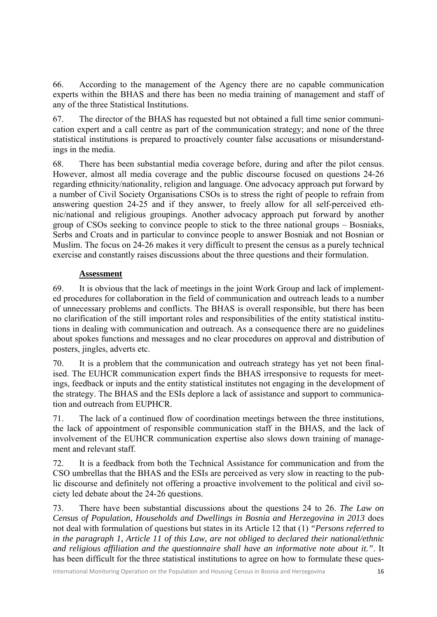66. According to the management of the Agency there are no capable communication experts within the BHAS and there has been no media training of management and staff of any of the three Statistical Institutions.

67. The director of the BHAS has requested but not obtained a full time senior communication expert and a call centre as part of the communication strategy; and none of the three statistical institutions is prepared to proactively counter false accusations or misunderstandings in the media.

68. There has been substantial media coverage before, during and after the pilot census. However, almost all media coverage and the public discourse focused on questions 24-26 regarding ethnicity/nationality, religion and language. One advocacy approach put forward by a number of Civil Society Organisations CSOs is to stress the right of people to refrain from answering question 24-25 and if they answer, to freely allow for all self-perceived ethnic/national and religious groupings. Another advocacy approach put forward by another group of CSOs seeking to convince people to stick to the three national groups – Bosniaks, Serbs and Croats and in particular to convince people to answer Bosniak and not Bosnian or Muslim. The focus on 24-26 makes it very difficult to present the census as a purely technical exercise and constantly raises discussions about the three questions and their formulation.

#### **Assessment**

69. It is obvious that the lack of meetings in the joint Work Group and lack of implemented procedures for collaboration in the field of communication and outreach leads to a number of unnecessary problems and conflicts. The BHAS is overall responsible, but there has been no clarification of the still important roles and responsibilities of the entity statistical institutions in dealing with communication and outreach. As a consequence there are no guidelines about spokes functions and messages and no clear procedures on approval and distribution of posters, jingles, adverts etc.

70. It is a problem that the communication and outreach strategy has yet not been finalised. The EUHCR communication expert finds the BHAS irresponsive to requests for meetings, feedback or inputs and the entity statistical institutes not engaging in the development of the strategy. The BHAS and the ESIs deplore a lack of assistance and support to communication and outreach from EUPHCR.

71. The lack of a continued flow of coordination meetings between the three institutions, the lack of appointment of responsible communication staff in the BHAS, and the lack of involvement of the EUHCR communication expertise also slows down training of management and relevant staff.

72. It is a feedback from both the Technical Assistance for communication and from the CSO umbrellas that the BHAS and the ESIs are perceived as very slow in reacting to the public discourse and definitely not offering a proactive involvement to the political and civil society led debate about the 24-26 questions.

73. There have been substantial discussions about the questions 24 to 26. *The Law on Census of Population, Households and Dwellings in Bosnia and Herzegovina in 2013* does not deal with formulation of questions but states in its Article 12 that (1) *"Persons referred to in the paragraph 1, Article 11 of this Law, are not obliged to declared their national/ethnic and religious affiliation and the questionnaire shall have an informative note about it."*. It has been difficult for the three statistical institutions to agree on how to formulate these ques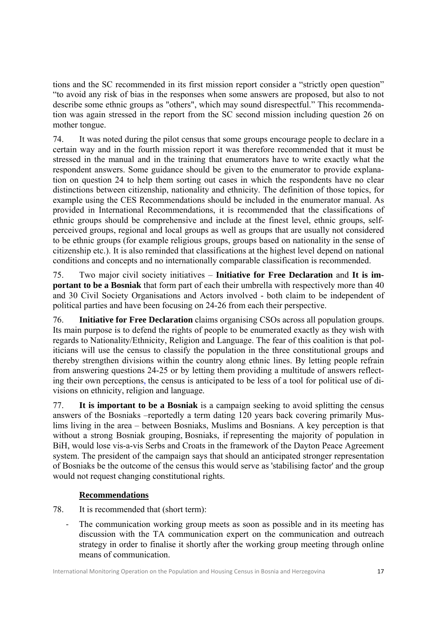tions and the SC recommended in its first mission report consider a "strictly open question" "to avoid any risk of bias in the responses when some answers are proposed, but also to not describe some ethnic groups as "others", which may sound disrespectful." This recommendation was again stressed in the report from the SC second mission including question 26 on mother tongue.

74. It was noted during the pilot census that some groups encourage people to declare in a certain way and in the fourth mission report it was therefore recommended that it must be stressed in the manual and in the training that enumerators have to write exactly what the respondent answers. Some guidance should be given to the enumerator to provide explanation on question 24 to help them sorting out cases in which the respondents have no clear distinctions between citizenship, nationality and ethnicity. The definition of those topics, for example using the CES Recommendations should be included in the enumerator manual. As provided in International Recommendations, it is recommended that the classifications of ethnic groups should be comprehensive and include at the finest level, ethnic groups, selfperceived groups, regional and local groups as well as groups that are usually not considered to be ethnic groups (for example religious groups, groups based on nationality in the sense of citizenship etc.). It is also reminded that classifications at the highest level depend on national conditions and concepts and no internationally comparable classification is recommended.

75. Two major civil society initiatives – **Initiative for Free Declaration** and **It is important to be a Bosniak** that form part of each their umbrella with respectively more than 40 and 30 Civil Society Organisations and Actors involved - both claim to be independent of political parties and have been focusing on 24-26 from each their perspective.

76. **Initiative for Free Declaration** claims organising CSOs across all population groups. Its main purpose is to defend the rights of people to be enumerated exactly as they wish with regards to Nationality/Ethnicity, Religion and Language. The fear of this coalition is that politicians will use the census to classify the population in the three constitutional groups and thereby strengthen divisions within the country along ethnic lines. By letting people refrain from answering questions 24-25 or by letting them providing a multitude of answers reflecting their own perceptions, the census is anticipated to be less of a tool for political use of divisions on ethnicity, religion and language.

77. **It is important to be a Bosniak** is a campaign seeking to avoid splitting the census answers of the Bosniaks –reportedly a term dating 120 years back covering primarily Muslims living in the area – between Bosniaks, Muslims and Bosnians. A key perception is that without a strong Bosniak grouping, Bosniaks, if representing the majority of population in BiH, would lose vis-a-vis Serbs and Croats in the framework of the Dayton Peace Agreement system. The president of the campaign says that should an anticipated stronger representation of Bosniaks be the outcome of the census this would serve as 'stabilising factor' and the group would not request changing constitutional rights.

## **Recommendations**

- 78. It is recommended that (short term):
	- ‐ The communication working group meets as soon as possible and in its meeting has discussion with the TA communication expert on the communication and outreach strategy in order to finalise it shortly after the working group meeting through online means of communication.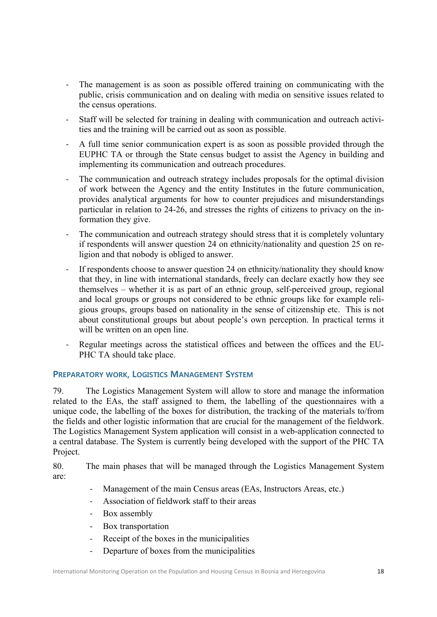- ‐ The management is as soon as possible offered training on communicating with the public, crisis communication and on dealing with media on sensitive issues related to the census operations.
- ‐ Staff will be selected for training in dealing with communication and outreach activities and the training will be carried out as soon as possible.
- ‐ A full time senior communication expert is as soon as possible provided through the EUPHC TA or through the State census budget to assist the Agency in building and implementing its communication and outreach procedures.
- ‐ The communication and outreach strategy includes proposals for the optimal division of work between the Agency and the entity Institutes in the future communication, provides analytical arguments for how to counter prejudices and misunderstandings particular in relation to 24-26, and stresses the rights of citizens to privacy on the information they give.
- The communication and outreach strategy should stress that it is completely voluntary if respondents will answer question 24 on ethnicity/nationality and question 25 on religion and that nobody is obliged to answer.
- If respondents choose to answer question 24 on ethnicity/nationality they should know that they, in line with international standards, freely can declare exactly how they see themselves – whether it is as part of an ethnic group, self-perceived group, regional and local groups or groups not considered to be ethnic groups like for example religious groups, groups based on nationality in the sense of citizenship etc. This is not about constitutional groups but about people's own perception. In practical terms it will be written on an open line.
- ‐ Regular meetings across the statistical offices and between the offices and the EU-PHC TA should take place.

#### **PREPARATORY WORK, LOGISTICS MANAGEMENT SYSTEM**

79. The Logistics Management System will allow to store and manage the information related to the EAs, the staff assigned to them, the labelling of the questionnaires with a unique code, the labelling of the boxes for distribution, the tracking of the materials to/from the fields and other logistic information that are crucial for the management of the fieldwork. The Logistics Management System application will consist in a web-application connected to a central database. The System is currently being developed with the support of the PHC TA Project.

80. The main phases that will be managed through the Logistics Management System are:

- Management of the main Census areas (EAs, Instructors Areas, etc.)
- ‐ Association of fieldwork staff to their areas
- ‐ Box assembly
- Box transportation
- ‐ Receipt of the boxes in the municipalities
- ‐ Departure of boxes from the municipalities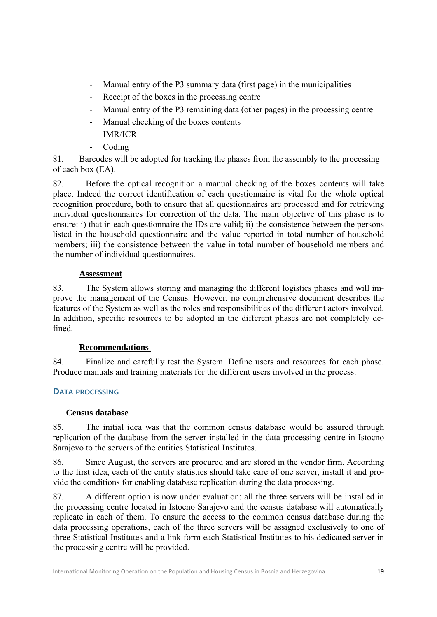- ‐ Manual entry of the P3 summary data (first page) in the municipalities
- ‐ Receipt of the boxes in the processing centre
- ‐ Manual entry of the P3 remaining data (other pages) in the processing centre
- ‐ Manual checking of the boxes contents
- ‐ IMR/ICR
- ‐ Coding

81. Barcodes will be adopted for tracking the phases from the assembly to the processing of each box (EA).

82. Before the optical recognition a manual checking of the boxes contents will take place. Indeed the correct identification of each questionnaire is vital for the whole optical recognition procedure, both to ensure that all questionnaires are processed and for retrieving individual questionnaires for correction of the data. The main objective of this phase is to ensure: i) that in each questionnaire the IDs are valid; ii) the consistence between the persons listed in the household questionnaire and the value reported in total number of household members; iii) the consistence between the value in total number of household members and the number of individual questionnaires.

#### **Assessment**

83. The System allows storing and managing the different logistics phases and will improve the management of the Census. However, no comprehensive document describes the features of the System as well as the roles and responsibilities of the different actors involved. In addition, specific resources to be adopted in the different phases are not completely defined.

#### **Recommendations**

84. Finalize and carefully test the System. Define users and resources for each phase. Produce manuals and training materials for the different users involved in the process.

#### **DATA PROCESSING**

#### **Census database**

85. The initial idea was that the common census database would be assured through replication of the database from the server installed in the data processing centre in Istocno Sarajevo to the servers of the entities Statistical Institutes.

86. Since August, the servers are procured and are stored in the vendor firm. According to the first idea, each of the entity statistics should take care of one server, install it and provide the conditions for enabling database replication during the data processing.

87. A different option is now under evaluation: all the three servers will be installed in the processing centre located in Istocno Sarajevo and the census database will automatically replicate in each of them. To ensure the access to the common census database during the data processing operations, each of the three servers will be assigned exclusively to one of three Statistical Institutes and a link form each Statistical Institutes to his dedicated server in the processing centre will be provided.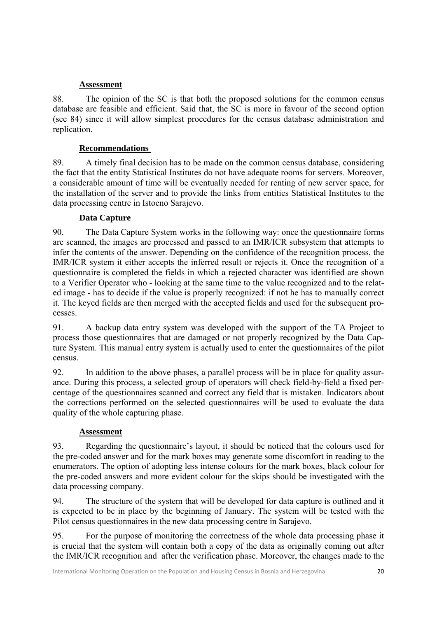#### **Assessment**

88. The opinion of the SC is that both the proposed solutions for the common census database are feasible and efficient. Said that, the SC is more in favour of the second option (see 84) since it will allow simplest procedures for the census database administration and replication.

## **Recommendations**

89. A timely final decision has to be made on the common census database, considering the fact that the entity Statistical Institutes do not have adequate rooms for servers. Moreover, a considerable amount of time will be eventually needed for renting of new server space, for the installation of the server and to provide the links from entities Statistical Institutes to the data processing centre in Istocno Sarajevo.

#### **Data Capture**

90. The Data Capture System works in the following way: once the questionnaire forms are scanned, the images are processed and passed to an IMR/ICR subsystem that attempts to infer the contents of the answer. Depending on the confidence of the recognition process, the IMR/ICR system it either accepts the inferred result or rejects it. Once the recognition of a questionnaire is completed the fields in which a rejected character was identified are shown to a Verifier Operator who - looking at the same time to the value recognized and to the related image - has to decide if the value is properly recognized: if not he has to manually correct it. The keyed fields are then merged with the accepted fields and used for the subsequent processes.

91. A backup data entry system was developed with the support of the TA Project to process those questionnaires that are damaged or not properly recognized by the Data Capture System. This manual entry system is actually used to enter the questionnaires of the pilot census.

92. In addition to the above phases, a parallel process will be in place for quality assurance. During this process, a selected group of operators will check field-by-field a fixed percentage of the questionnaires scanned and correct any field that is mistaken. Indicators about the corrections performed on the selected questionnaires will be used to evaluate the data quality of the whole capturing phase.

#### **Assessment**

93. Regarding the questionnaire's layout, it should be noticed that the colours used for the pre-coded answer and for the mark boxes may generate some discomfort in reading to the enumerators. The option of adopting less intense colours for the mark boxes, black colour for the pre-coded answers and more evident colour for the skips should be investigated with the data processing company.

94. The structure of the system that will be developed for data capture is outlined and it is expected to be in place by the beginning of January. The system will be tested with the Pilot census questionnaires in the new data processing centre in Sarajevo.

95. For the purpose of monitoring the correctness of the whole data processing phase it is crucial that the system will contain both a copy of the data as originally coming out after the IMR/ICR recognition and after the verification phase. Moreover, the changes made to the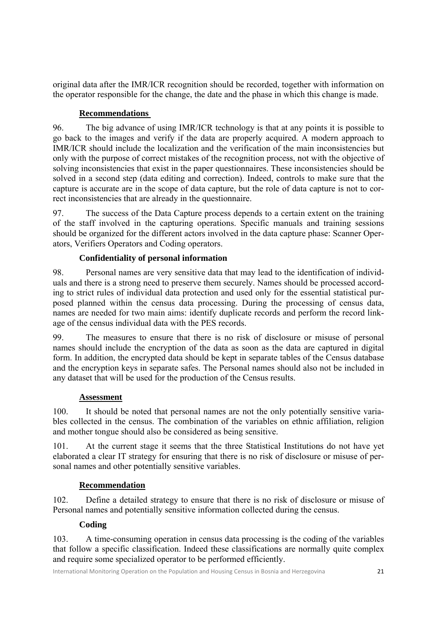original data after the IMR/ICR recognition should be recorded, together with information on the operator responsible for the change, the date and the phase in which this change is made.

#### **Recommendations**

96. The big advance of using IMR/ICR technology is that at any points it is possible to go back to the images and verify if the data are properly acquired. A modern approach to IMR/ICR should include the localization and the verification of the main inconsistencies but only with the purpose of correct mistakes of the recognition process, not with the objective of solving inconsistencies that exist in the paper questionnaires. These inconsistencies should be solved in a second step (data editing and correction). Indeed, controls to make sure that the capture is accurate are in the scope of data capture, but the role of data capture is not to correct inconsistencies that are already in the questionnaire.

97. The success of the Data Capture process depends to a certain extent on the training of the staff involved in the capturing operations. Specific manuals and training sessions should be organized for the different actors involved in the data capture phase: Scanner Operators, Verifiers Operators and Coding operators.

## **Confidentiality of personal information**

98. Personal names are very sensitive data that may lead to the identification of individuals and there is a strong need to preserve them securely. Names should be processed according to strict rules of individual data protection and used only for the essential statistical purposed planned within the census data processing. During the processing of census data, names are needed for two main aims: identify duplicate records and perform the record linkage of the census individual data with the PES records.

99. The measures to ensure that there is no risk of disclosure or misuse of personal names should include the encryption of the data as soon as the data are captured in digital form. In addition, the encrypted data should be kept in separate tables of the Census database and the encryption keys in separate safes. The Personal names should also not be included in any dataset that will be used for the production of the Census results.

#### **Assessment**

100. It should be noted that personal names are not the only potentially sensitive variables collected in the census. The combination of the variables on ethnic affiliation, religion and mother tongue should also be considered as being sensitive.

101. At the current stage it seems that the three Statistical Institutions do not have yet elaborated a clear IT strategy for ensuring that there is no risk of disclosure or misuse of personal names and other potentially sensitive variables.

## **Recommendation**

102. Define a detailed strategy to ensure that there is no risk of disclosure or misuse of Personal names and potentially sensitive information collected during the census.

## **Coding**

103. A time-consuming operation in census data processing is the coding of the variables that follow a specific classification. Indeed these classifications are normally quite complex and require some specialized operator to be performed efficiently.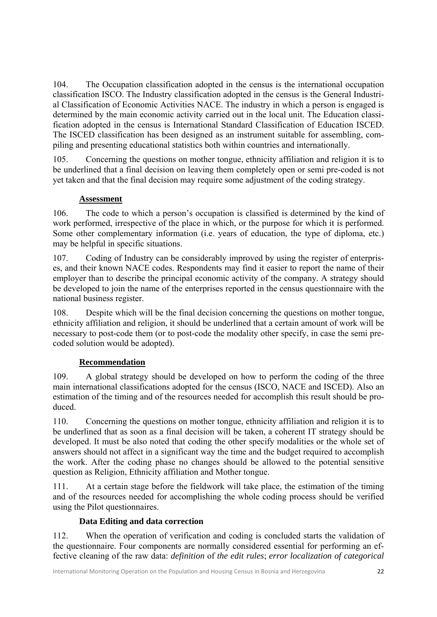104. The Occupation classification adopted in the census is the international occupation classification ISCO. The Industry classification adopted in the census is the General Industrial Classification of Economic Activities NACE. The industry in which a person is engaged is determined by the main economic activity carried out in the local unit. The Education classification adopted in the census is International Standard Classification of Education ISCED. The ISCED classification has been designed as an instrument suitable for assembling, compiling and presenting educational statistics both within countries and internationally.

105. Concerning the questions on mother tongue, ethnicity affiliation and religion it is to be underlined that a final decision on leaving them completely open or semi pre-coded is not yet taken and that the final decision may require some adjustment of the coding strategy.

#### **Assessment**

106. The code to which a person's occupation is classified is determined by the kind of work performed, irrespective of the place in which, or the purpose for which it is performed. Some other complementary information (i.e. years of education, the type of diploma, etc.) may be helpful in specific situations.

107. Coding of Industry can be considerably improved by using the register of enterprises, and their known NACE codes. Respondents may find it easier to report the name of their employer than to describe the principal economic activity of the company. A strategy should be developed to join the name of the enterprises reported in the census questionnaire with the national business register.

108. Despite which will be the final decision concerning the questions on mother tongue, ethnicity affiliation and religion, it should be underlined that a certain amount of work will be necessary to post-code them (or to post-code the modality other specify, in case the semi precoded solution would be adopted).

## **Recommendation**

109. A global strategy should be developed on how to perform the coding of the three main international classifications adopted for the census (ISCO, NACE and ISCED). Also an estimation of the timing and of the resources needed for accomplish this result should be produced.

110. Concerning the questions on mother tongue, ethnicity affiliation and religion it is to be underlined that as soon as a final decision will be taken, a coherent IT strategy should be developed. It must be also noted that coding the other specify modalities or the whole set of answers should not affect in a significant way the time and the budget required to accomplish the work. After the coding phase no changes should be allowed to the potential sensitive question as Religion, Ethnicity affiliation and Mother tongue.

111. At a certain stage before the fieldwork will take place, the estimation of the timing and of the resources needed for accomplishing the whole coding process should be verified using the Pilot questionnaires.

## **Data Editing and data correction**

112. When the operation of verification and coding is concluded starts the validation of the questionnaire. Four components are normally considered essential for performing an effective cleaning of the raw data: *definition* of *the edit rules*; *error localization of categorical*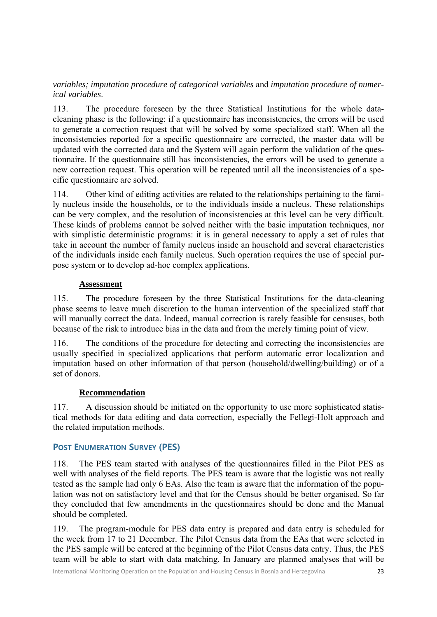#### *variables; imputation procedure of categorical variables* and *imputation procedure of numerical variables*.

113. The procedure foreseen by the three Statistical Institutions for the whole datacleaning phase is the following: if a questionnaire has inconsistencies, the errors will be used to generate a correction request that will be solved by some specialized staff. When all the inconsistencies reported for a specific questionnaire are corrected, the master data will be updated with the corrected data and the System will again perform the validation of the questionnaire. If the questionnaire still has inconsistencies, the errors will be used to generate a new correction request. This operation will be repeated until all the inconsistencies of a specific questionnaire are solved.

114. Other kind of editing activities are related to the relationships pertaining to the family nucleus inside the households, or to the individuals inside a nucleus. These relationships can be very complex, and the resolution of inconsistencies at this level can be very difficult. These kinds of problems cannot be solved neither with the basic imputation techniques, nor with simplistic deterministic programs: it is in general necessary to apply a set of rules that take in account the number of family nucleus inside an household and several characteristics of the individuals inside each family nucleus. Such operation requires the use of special purpose system or to develop ad-hoc complex applications.

#### **Assessment**

115. The procedure foreseen by the three Statistical Institutions for the data-cleaning phase seems to leave much discretion to the human intervention of the specialized staff that will manually correct the data. Indeed, manual correction is rarely feasible for censuses, both because of the risk to introduce bias in the data and from the merely timing point of view.

116. The conditions of the procedure for detecting and correcting the inconsistencies are usually specified in specialized applications that perform automatic error localization and imputation based on other information of that person (household/dwelling/building) or of a set of donors.

## **Recommendation**

117. A discussion should be initiated on the opportunity to use more sophisticated statistical methods for data editing and data correction, especially the Fellegi-Holt approach and the related imputation methods.

#### **POST ENUMERATION SURVEY (PES)**

118. The PES team started with analyses of the questionnaires filled in the Pilot PES as well with analyses of the field reports. The PES team is aware that the logistic was not really tested as the sample had only 6 EAs. Also the team is aware that the information of the population was not on satisfactory level and that for the Census should be better organised. So far they concluded that few amendments in the questionnaires should be done and the Manual should be completed.

119. The program-module for PES data entry is prepared and data entry is scheduled for the week from 17 to 21 December. The Pilot Census data from the EAs that were selected in the PES sample will be entered at the beginning of the Pilot Census data entry. Thus, the PES team will be able to start with data matching. In January are planned analyses that will be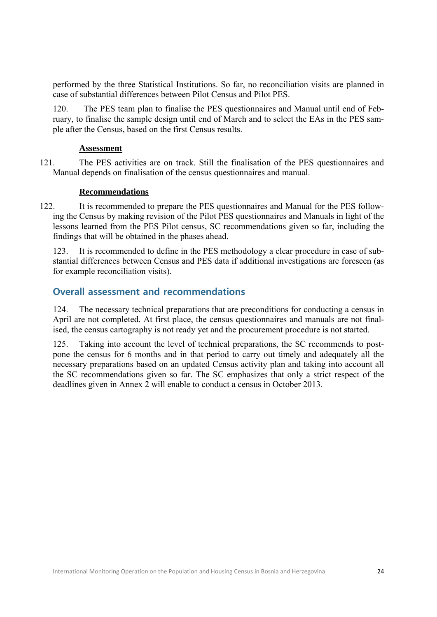performed by the three Statistical Institutions. So far, no reconciliation visits are planned in case of substantial differences between Pilot Census and Pilot PES.

120. The PES team plan to finalise the PES questionnaires and Manual until end of February, to finalise the sample design until end of March and to select the EAs in the PES sample after the Census, based on the first Census results.

#### **Assessment**

121. The PES activities are on track. Still the finalisation of the PES questionnaires and Manual depends on finalisation of the census questionnaires and manual.

#### **Recommendations**

122. It is recommended to prepare the PES questionnaires and Manual for the PES following the Census by making revision of the Pilot PES questionnaires and Manuals in light of the lessons learned from the PES Pilot census, SC recommendations given so far, including the findings that will be obtained in the phases ahead.

123. It is recommended to define in the PES methodology a clear procedure in case of substantial differences between Census and PES data if additional investigations are foreseen (as for example reconciliation visits).

#### **Overall assessment and recommendations**

124. The necessary technical preparations that are preconditions for conducting a census in April are not completed. At first place, the census questionnaires and manuals are not finalised, the census cartography is not ready yet and the procurement procedure is not started.

125. Taking into account the level of technical preparations, the SC recommends to postpone the census for 6 months and in that period to carry out timely and adequately all the necessary preparations based on an updated Census activity plan and taking into account all the SC recommendations given so far. The SC emphasizes that only a strict respect of the deadlines given in Annex 2 will enable to conduct a census in October 2013.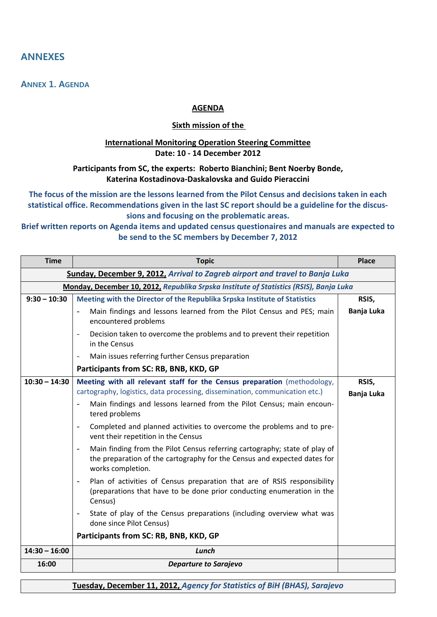## **ANNEXES**

**ANNEX 1. AGENDA**

#### **AGENDA**

#### **Sixth mission of the**

#### **International Monitoring Operation Steering Committee Date: 10 ‐ 14 December 2012**

#### **Participants from SC, the experts: Roberto Bianchini; Bent Noerby Bonde, Katerina Kostadinova‐Daskalovska and Guido Pieraccini**

**The focus of the mission are the lessons learned from the Pilot Census and decisions taken in each statistical office. Recommendations given in the last SC report should be a guideline for the discus‐ sions and focusing on the problematic areas.**

#### **Brief written reports on Agenda items and updated census questionaires and manuals are expected to be send to the SC members by December 7, 2012**

| <b>Time</b>                                                                  | <b>Topic</b>                                                                                                                                                                                  | <b>Place</b>        |  |  |  |
|------------------------------------------------------------------------------|-----------------------------------------------------------------------------------------------------------------------------------------------------------------------------------------------|---------------------|--|--|--|
| Sunday, December 9, 2012, Arrival to Zagreb airport and travel to Banja Luka |                                                                                                                                                                                               |                     |  |  |  |
|                                                                              | Monday, December 10, 2012, Republika Srpska Institute of Statistics (RSIS), Banja Luka                                                                                                        |                     |  |  |  |
| $9:30 - 10:30$                                                               | Meeting with the Director of the Republika Srpska Institute of Statistics                                                                                                                     | RSIS,               |  |  |  |
|                                                                              | Main findings and lessons learned from the Pilot Census and PES; main<br>$\overline{\phantom{a}}$<br>encountered problems                                                                     | Banja Luka          |  |  |  |
|                                                                              | Decision taken to overcome the problems and to prevent their repetition<br>$\overline{\phantom{a}}$<br>in the Census                                                                          |                     |  |  |  |
|                                                                              | Main issues referring further Census preparation                                                                                                                                              |                     |  |  |  |
|                                                                              | Participants from SC: RB, BNB, KKD, GP                                                                                                                                                        |                     |  |  |  |
| $10:30 - 14:30$                                                              | Meeting with all relevant staff for the Census preparation (methodology,<br>cartography, logistics, data processing, dissemination, communication etc.)                                       | RSIS,<br>Banja Luka |  |  |  |
|                                                                              | Main findings and lessons learned from the Pilot Census; main encoun-<br>tered problems                                                                                                       |                     |  |  |  |
|                                                                              | Completed and planned activities to overcome the problems and to pre-<br>$\overline{a}$<br>vent their repetition in the Census                                                                |                     |  |  |  |
|                                                                              | Main finding from the Pilot Census referring cartography; state of play of<br>$\overline{a}$<br>the preparation of the cartography for the Census and expected dates for<br>works completion. |                     |  |  |  |
|                                                                              | Plan of activities of Census preparation that are of RSIS responsibility<br>(preparations that have to be done prior conducting enumeration in the<br>Census)                                 |                     |  |  |  |
|                                                                              | State of play of the Census preparations (including overview what was<br>$\overline{\phantom{a}}$<br>done since Pilot Census)                                                                 |                     |  |  |  |
|                                                                              | Participants from SC: RB, BNB, KKD, GP                                                                                                                                                        |                     |  |  |  |
| $14:30 - 16:00$                                                              | Lunch                                                                                                                                                                                         |                     |  |  |  |
| 16:00                                                                        | <b>Departure to Sarajevo</b>                                                                                                                                                                  |                     |  |  |  |

**Tuesday, December 11, 2012,** *Agency for Statistics of BiH (BHAS), Sarajevo*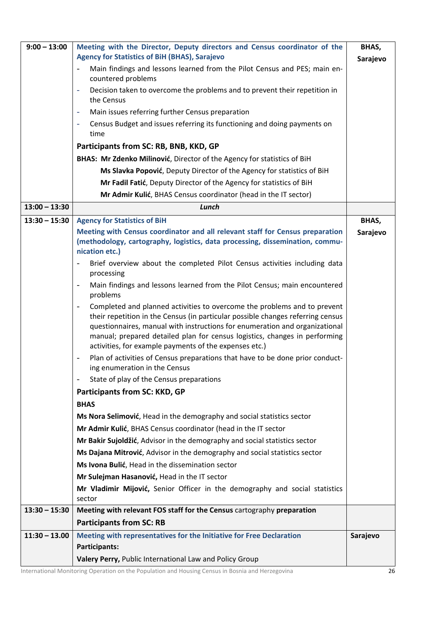| $9:00 - 13:00$  | Meeting with the Director, Deputy directors and Census coordinator of the<br><b>Agency for Statistics of BiH (BHAS), Sarajevo</b>                                                                                                                                                                                                                                                       | BHAS,<br>Sarajevo |
|-----------------|-----------------------------------------------------------------------------------------------------------------------------------------------------------------------------------------------------------------------------------------------------------------------------------------------------------------------------------------------------------------------------------------|-------------------|
|                 | Main findings and lessons learned from the Pilot Census and PES; main en-<br>countered problems                                                                                                                                                                                                                                                                                         |                   |
|                 | Decision taken to overcome the problems and to prevent their repetition in<br>۰<br>the Census                                                                                                                                                                                                                                                                                           |                   |
|                 | Main issues referring further Census preparation<br>۰                                                                                                                                                                                                                                                                                                                                   |                   |
|                 | Census Budget and issues referring its functioning and doing payments on<br>۰                                                                                                                                                                                                                                                                                                           |                   |
|                 | time                                                                                                                                                                                                                                                                                                                                                                                    |                   |
|                 | Participants from SC: RB, BNB, KKD, GP                                                                                                                                                                                                                                                                                                                                                  |                   |
|                 | BHAS: Mr Zdenko Milinović, Director of the Agency for statistics of BiH                                                                                                                                                                                                                                                                                                                 |                   |
|                 | Ms Slavka Popović, Deputy Director of the Agency for statistics of BiH                                                                                                                                                                                                                                                                                                                  |                   |
|                 | Mr Fadil Fatić, Deputy Director of the Agency for statistics of BiH                                                                                                                                                                                                                                                                                                                     |                   |
|                 | Mr Admir Kulić, BHAS Census coordinator (head in the IT sector)                                                                                                                                                                                                                                                                                                                         |                   |
| $13:00 - 13:30$ | Lunch                                                                                                                                                                                                                                                                                                                                                                                   |                   |
| $13:30 - 15:30$ | <b>Agency for Statistics of BiH</b>                                                                                                                                                                                                                                                                                                                                                     | BHAS,             |
|                 | Meeting with Census coordinator and all relevant staff for Census preparation                                                                                                                                                                                                                                                                                                           | Sarajevo          |
|                 | (methodology, cartography, logistics, data processing, dissemination, commu-                                                                                                                                                                                                                                                                                                            |                   |
|                 | nication etc.)                                                                                                                                                                                                                                                                                                                                                                          |                   |
|                 | Brief overview about the completed Pilot Census activities including data<br>$\overline{\phantom{0}}$<br>processing                                                                                                                                                                                                                                                                     |                   |
|                 | Main findings and lessons learned from the Pilot Census; main encountered<br>$\blacksquare$<br>problems                                                                                                                                                                                                                                                                                 |                   |
|                 | Completed and planned activities to overcome the problems and to prevent<br>-<br>their repetition in the Census (in particular possible changes referring census<br>questionnaires, manual with instructions for enumeration and organizational<br>manual; prepared detailed plan for census logistics, changes in performing<br>activities, for example payments of the expenses etc.) |                   |
|                 | Plan of activities of Census preparations that have to be done prior conduct-<br>ing enumeration in the Census                                                                                                                                                                                                                                                                          |                   |
|                 | State of play of the Census preparations<br>$\overline{\phantom{a}}$                                                                                                                                                                                                                                                                                                                    |                   |
|                 | Participants from SC: KKD, GP                                                                                                                                                                                                                                                                                                                                                           |                   |
|                 | <b>BHAS</b>                                                                                                                                                                                                                                                                                                                                                                             |                   |
|                 | Ms Nora Selimović, Head in the demography and social statistics sector                                                                                                                                                                                                                                                                                                                  |                   |
|                 | Mr Admir Kulić, BHAS Census coordinator (head in the IT sector                                                                                                                                                                                                                                                                                                                          |                   |
|                 | Mr Bakir Sujoldžić, Advisor in the demography and social statistics sector                                                                                                                                                                                                                                                                                                              |                   |
|                 | Ms Dajana Mitrović, Advisor in the demography and social statistics sector                                                                                                                                                                                                                                                                                                              |                   |
|                 | Ms Ivona Bulić, Head in the dissemination sector                                                                                                                                                                                                                                                                                                                                        |                   |
|                 | Mr Sulejman Hasanović, Head in the IT sector                                                                                                                                                                                                                                                                                                                                            |                   |
|                 | Mr Vladimir Mijović, Senior Officer in the demography and social statistics                                                                                                                                                                                                                                                                                                             |                   |
|                 | sector                                                                                                                                                                                                                                                                                                                                                                                  |                   |
| $13:30 - 15:30$ | Meeting with relevant FOS staff for the Census cartography preparation                                                                                                                                                                                                                                                                                                                  |                   |
|                 | <b>Participants from SC: RB</b>                                                                                                                                                                                                                                                                                                                                                         |                   |
| $11:30 - 13.00$ | Meeting with representatives for the Initiative for Free Declaration                                                                                                                                                                                                                                                                                                                    | Sarajevo          |
|                 | Participants:                                                                                                                                                                                                                                                                                                                                                                           |                   |
|                 | Valery Perry, Public International Law and Policy Group                                                                                                                                                                                                                                                                                                                                 |                   |

International Monitoring Operation on the Population and Housing Census in Bosnia and Herzegovina 26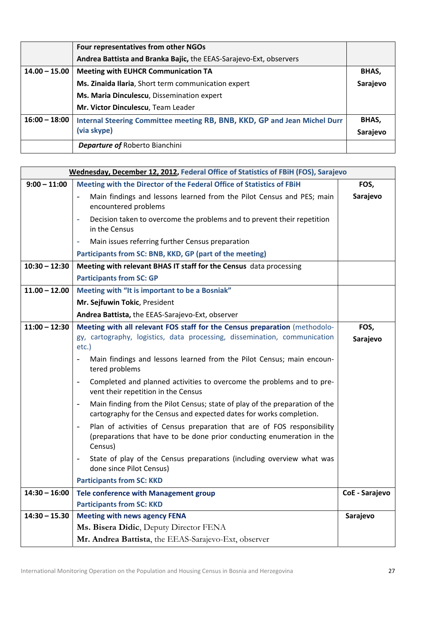|                 | Four representatives from other NGOs                                      |          |  |
|-----------------|---------------------------------------------------------------------------|----------|--|
|                 | Andrea Battista and Branka Bajic, the EEAS-Sarajevo-Ext, observers        |          |  |
| $14.00 - 15.00$ | <b>Meeting with EUHCR Communication TA</b>                                |          |  |
|                 | Ms. Zinaida Ilaria, Short term communication expert                       | Sarajevo |  |
|                 | Ms. Maria Dinculescu, Dissemination expert                                |          |  |
|                 | Mr. Victor Dinculescu, Team Leader                                        |          |  |
| $16:00 - 18:00$ | Internal Steering Committee meeting RB, BNB, KKD, GP and Jean Michel Durr | BHAS,    |  |
|                 | (via skype)                                                               | Sarajevo |  |
|                 | <b>Departure of Roberto Bianchini</b>                                     |          |  |

| Wednesday, December 12, 2012, Federal Office of Statistics of FBiH (FOS), Sarajevo |                                                                                                                                                                                                                                                                                                                                                                             |                  |  |  |
|------------------------------------------------------------------------------------|-----------------------------------------------------------------------------------------------------------------------------------------------------------------------------------------------------------------------------------------------------------------------------------------------------------------------------------------------------------------------------|------------------|--|--|
| $9:00 - 11:00$                                                                     | Meeting with the Director of the Federal Office of Statistics of FBiH                                                                                                                                                                                                                                                                                                       | FOS,             |  |  |
|                                                                                    | Main findings and lessons learned from the Pilot Census and PES; main<br>$\overline{a}$<br>encountered problems                                                                                                                                                                                                                                                             | Sarajevo         |  |  |
|                                                                                    | Decision taken to overcome the problems and to prevent their repetition<br>$\bar{\phantom{a}}$<br>in the Census                                                                                                                                                                                                                                                             |                  |  |  |
|                                                                                    | Main issues referring further Census preparation<br>÷,                                                                                                                                                                                                                                                                                                                      |                  |  |  |
|                                                                                    | Participants from SC: BNB, KKD, GP (part of the meeting)                                                                                                                                                                                                                                                                                                                    |                  |  |  |
| $10:30 - 12:30$                                                                    | Meeting with relevant BHAS IT staff for the Census data processing                                                                                                                                                                                                                                                                                                          |                  |  |  |
|                                                                                    | <b>Participants from SC: GP</b>                                                                                                                                                                                                                                                                                                                                             |                  |  |  |
| $11.00 - 12.00$                                                                    | Meeting with "It is important to be a Bosniak"                                                                                                                                                                                                                                                                                                                              |                  |  |  |
|                                                                                    | Mr. Sejfuwin Tokic, President                                                                                                                                                                                                                                                                                                                                               |                  |  |  |
|                                                                                    | Andrea Battista, the EEAS-Sarajevo-Ext, observer                                                                                                                                                                                                                                                                                                                            |                  |  |  |
| $11:00 - 12:30$                                                                    | Meeting with all relevant FOS staff for the Census preparation (methodolo-<br>gy, cartography, logistics, data processing, dissemination, communication<br>$etc.$ )<br>Main findings and lessons learned from the Pilot Census; main encoun-<br>$\blacksquare$<br>tered problems<br>Completed and planned activities to overcome the problems and to pre-<br>$\blacksquare$ | FOS,<br>Sarajevo |  |  |
|                                                                                    | vent their repetition in the Census<br>Main finding from the Pilot Census; state of play of the preparation of the<br>$\blacksquare$<br>cartography for the Census and expected dates for works completion.<br>Plan of activities of Census preparation that are of FOS responsibility<br>(preparations that have to be done prior conducting enumeration in the<br>Census) |                  |  |  |
|                                                                                    | State of play of the Census preparations (including overview what was<br>$\qquad \qquad -$<br>done since Pilot Census)<br><b>Participants from SC: KKD</b>                                                                                                                                                                                                                  |                  |  |  |
| $14:30 - 16:00$                                                                    | <b>Tele conference with Management group</b>                                                                                                                                                                                                                                                                                                                                | CoE - Sarajevo   |  |  |
|                                                                                    | <b>Participants from SC: KKD</b>                                                                                                                                                                                                                                                                                                                                            |                  |  |  |
| $14:30 - 15.30$                                                                    | <b>Meeting with news agency FENA</b>                                                                                                                                                                                                                                                                                                                                        | Sarajevo         |  |  |
|                                                                                    | Ms. Bisera Didic, Deputy Director FENA                                                                                                                                                                                                                                                                                                                                      |                  |  |  |
|                                                                                    | Mr. Andrea Battista, the EEAS-Sarajevo-Ext, observer                                                                                                                                                                                                                                                                                                                        |                  |  |  |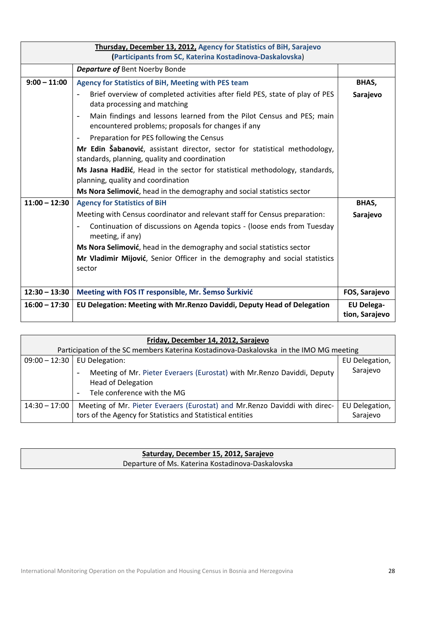| Thursday, December 13, 2012, Agency for Statistics of BiH, Sarajevo<br>(Participants from SC, Katerina Kostadinova-Daskalovska) |                                                                                                                                                         |                                     |  |
|---------------------------------------------------------------------------------------------------------------------------------|---------------------------------------------------------------------------------------------------------------------------------------------------------|-------------------------------------|--|
|                                                                                                                                 | <b>Departure of Bent Noerby Bonde</b>                                                                                                                   |                                     |  |
| $9:00 - 11:00$                                                                                                                  | Agency for Statistics of BiH, Meeting with PES team                                                                                                     | BHAS,                               |  |
|                                                                                                                                 | Brief overview of completed activities after field PES, state of play of PES<br>$\overline{\phantom{a}}$<br>data processing and matching                | Sarajevo                            |  |
|                                                                                                                                 | Main findings and lessons learned from the Pilot Census and PES; main<br>$\overline{\phantom{a}}$<br>encountered problems; proposals for changes if any |                                     |  |
|                                                                                                                                 | Preparation for PES following the Census                                                                                                                |                                     |  |
|                                                                                                                                 | Mr Edin Šabanović, assistant director, sector for statistical methodology,<br>standards, planning, quality and coordination                             |                                     |  |
|                                                                                                                                 | Ms Jasna Hadžić, Head in the sector for statistical methodology, standards,<br>planning, quality and coordination                                       |                                     |  |
|                                                                                                                                 | Ms Nora Selimović, head in the demography and social statistics sector                                                                                  |                                     |  |
| $11:00 - 12:30$                                                                                                                 | <b>Agency for Statistics of BiH</b>                                                                                                                     | BHAS,                               |  |
|                                                                                                                                 | Meeting with Census coordinator and relevant staff for Census preparation:                                                                              | Sarajevo                            |  |
|                                                                                                                                 | Continuation of discussions on Agenda topics - (loose ends from Tuesday<br>$\overline{\phantom{a}}$<br>meeting, if any)                                 |                                     |  |
|                                                                                                                                 | Ms Nora Selimović, head in the demography and social statistics sector                                                                                  |                                     |  |
|                                                                                                                                 | Mr Vladimir Mijović, Senior Officer in the demography and social statistics                                                                             |                                     |  |
|                                                                                                                                 | sector                                                                                                                                                  |                                     |  |
|                                                                                                                                 |                                                                                                                                                         |                                     |  |
| $12:30 - 13:30$                                                                                                                 | Meeting with FOS IT responsible, Mr. Šemso Šurkivić                                                                                                     | FOS, Sarajevo                       |  |
| $16:00 - 17:30$                                                                                                                 | EU Delegation: Meeting with Mr. Renzo Daviddi, Deputy Head of Delegation                                                                                | <b>EU Delega-</b><br>tion, Sarajevo |  |

| Friday, December 14, 2012, Sarajevo                                                    |                                                                                                                                                                                        |                            |  |
|----------------------------------------------------------------------------------------|----------------------------------------------------------------------------------------------------------------------------------------------------------------------------------------|----------------------------|--|
| Participation of the SC members Katerina Kostadinova-Daskalovska in the IMO MG meeting |                                                                                                                                                                                        |                            |  |
| $09:00 - 12:30$                                                                        | EU Delegation:                                                                                                                                                                         |                            |  |
|                                                                                        | Meeting of Mr. Pieter Everaers (Eurostat) with Mr. Renzo Daviddi, Deputy<br>$\qquad \qquad \blacksquare$<br><b>Head of Delegation</b><br>Tele conference with the MG<br>$\blacksquare$ | Sarajevo                   |  |
| $14:30 - 17:00$                                                                        | Meeting of Mr. Pieter Everaers (Eurostat) and Mr. Renzo Daviddi with direc-<br>tors of the Agency for Statistics and Statistical entities                                              | EU Delegation,<br>Sarajevo |  |

| Saturday, December 15, 2012, Sarajevo             |  |
|---------------------------------------------------|--|
| Departure of Ms. Katerina Kostadinova-Daskalovska |  |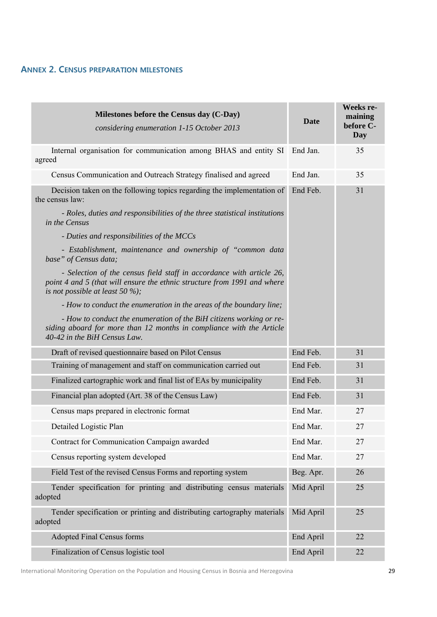## **ANNEX 2. CENSUS PREPARATION MILESTONES**

| Milestones before the Census day (C-Day)<br>considering enumeration 1-15 October 2013                                                                                                   | <b>Date</b> | <b>Weeks re-</b><br>maining<br>before C-<br>Day |
|-----------------------------------------------------------------------------------------------------------------------------------------------------------------------------------------|-------------|-------------------------------------------------|
| Internal organisation for communication among BHAS and entity SI End Jan.<br>agreed                                                                                                     |             | 35                                              |
| Census Communication and Outreach Strategy finalised and agreed                                                                                                                         | End Jan.    | 35                                              |
| Decision taken on the following topics regarding the implementation of<br>the census law:                                                                                               | End Feb.    | 31                                              |
| - Roles, duties and responsibilities of the three statistical institutions<br>in the Census                                                                                             |             |                                                 |
| - Duties and responsibilities of the MCCs                                                                                                                                               |             |                                                 |
| - Establishment, maintenance and ownership of "common data<br>base" of Census data;                                                                                                     |             |                                                 |
| - Selection of the census field staff in accordance with article 26,<br>point 4 and 5 (that will ensure the ethnic structure from 1991 and where<br>is not possible at least 50 $\%$ ); |             |                                                 |
| - How to conduct the enumeration in the areas of the boundary line;                                                                                                                     |             |                                                 |
| - How to conduct the enumeration of the BiH citizens working or re-<br>siding aboard for more than 12 months in compliance with the Article<br>40-42 in the BiH Census Law.             |             |                                                 |
| Draft of revised questionnaire based on Pilot Census                                                                                                                                    | End Feb.    | 31                                              |
| Training of management and staff on communication carried out                                                                                                                           | End Feb.    | 31                                              |
| Finalized cartographic work and final list of EAs by municipality                                                                                                                       | End Feb.    | 31                                              |
| Financial plan adopted (Art. 38 of the Census Law)                                                                                                                                      | End Feb.    | 31                                              |
| Census maps prepared in electronic format                                                                                                                                               | End Mar.    | 27                                              |
| Detailed Logistic Plan                                                                                                                                                                  | End Mar.    | 27                                              |
| Contract for Communication Campaign awarded                                                                                                                                             | End Mar.    | 27                                              |
| Census reporting system developed                                                                                                                                                       | End Mar.    | 27                                              |
| Field Test of the revised Census Forms and reporting system                                                                                                                             | Beg. Apr.   | 26                                              |
| Tender specification for printing and distributing census materials<br>adopted                                                                                                          | Mid April   | 25                                              |
| Tender specification or printing and distributing cartography materials<br>adopted                                                                                                      | Mid April   | 25                                              |
| <b>Adopted Final Census forms</b>                                                                                                                                                       | End April   | 22                                              |
| Finalization of Census logistic tool                                                                                                                                                    | End April   | 22                                              |